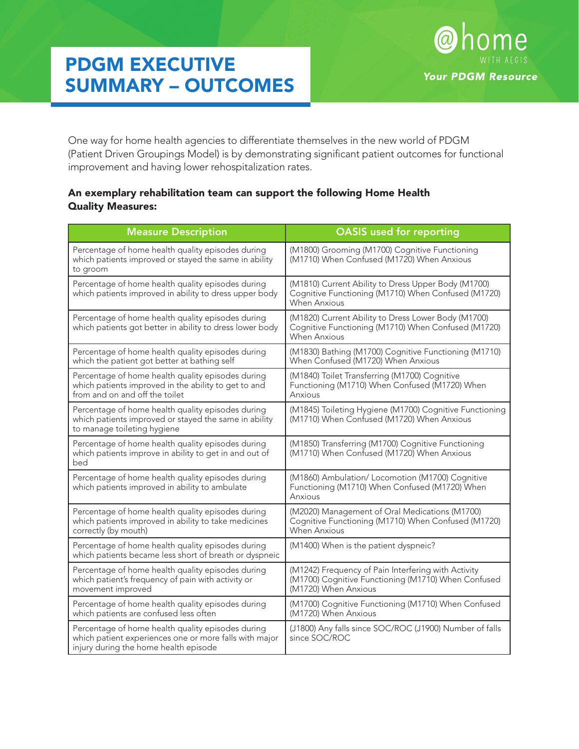## PDGM EXECUTIVE SUMMARY – OUTCOMES



One way for home health agencies to differentiate themselves in the new world of PDGM (Patient Driven Groupings Model) is by demonstrating significant patient outcomes for functional improvement and having lower rehospitalization rates.

## An exemplary rehabilitation team can support the following Home Health Quality Measures:

| <b>Measure Description</b>                                                                                                                           | <b>OASIS</b> used for reporting                                                                                                    |
|------------------------------------------------------------------------------------------------------------------------------------------------------|------------------------------------------------------------------------------------------------------------------------------------|
| Percentage of home health quality episodes during<br>which patients improved or stayed the same in ability<br>to groom                               | (M1800) Grooming (M1700) Cognitive Functioning<br>(M1710) When Confused (M1720) When Anxious                                       |
| Percentage of home health quality episodes during<br>which patients improved in ability to dress upper body                                          | (M1810) Current Ability to Dress Upper Body (M1700)<br>Cognitive Functioning (M1710) When Confused (M1720)<br><b>When Anxious</b>  |
| Percentage of home health quality episodes during<br>which patients got better in ability to dress lower body                                        | (M1820) Current Ability to Dress Lower Body (M1700)<br>Cognitive Functioning (M1710) When Confused (M1720)<br><b>When Anxious</b>  |
| Percentage of home health quality episodes during<br>which the patient got better at bathing self                                                    | (M1830) Bathing (M1700) Cognitive Functioning (M1710)<br>When Confused (M1720) When Anxious                                        |
| Percentage of home health quality episodes during<br>which patients improved in the ability to get to and<br>from and on and off the toilet          | (M1840) Toilet Transferring (M1700) Cognitive<br>Functioning (M1710) When Confused (M1720) When<br>Anxious                         |
| Percentage of home health quality episodes during<br>which patients improved or stayed the same in ability<br>to manage toileting hygiene            | (M1845) Toileting Hygiene (M1700) Cognitive Functioning<br>(M1710) When Confused (M1720) When Anxious                              |
| Percentage of home health quality episodes during<br>which patients improve in ability to get in and out of<br>bed                                   | (M1850) Transferring (M1700) Cognitive Functioning<br>(M1710) When Confused (M1720) When Anxious                                   |
| Percentage of home health quality episodes during<br>which patients improved in ability to ambulate                                                  | (M1860) Ambulation/ Locomotion (M1700) Cognitive<br>Functioning (M1710) When Confused (M1720) When<br>Anxious                      |
| Percentage of home health quality episodes during<br>which patients improved in ability to take medicines<br>correctly (by mouth)                    | (M2020) Management of Oral Medications (M1700)<br>Cognitive Functioning (M1710) When Confused (M1720)<br><b>When Anxious</b>       |
| Percentage of home health quality episodes during<br>which patients became less short of breath or dyspneic                                          | (M1400) When is the patient dyspneic?                                                                                              |
| Percentage of home health quality episodes during<br>which patient's frequency of pain with activity or<br>movement improved                         | (M1242) Frequency of Pain Interfering with Activity<br>(M1700) Cognitive Functioning (M1710) When Confused<br>(M1720) When Anxious |
| Percentage of home health quality episodes during<br>which patients are confused less often                                                          | (M1700) Cognitive Functioning (M1710) When Confused<br>(M1720) When Anxious                                                        |
| Percentage of home health quality episodes during<br>which patient experiences one or more falls with major<br>injury during the home health episode | (J1800) Any falls since SOC/ROC (J1900) Number of falls<br>since SOC/ROC                                                           |